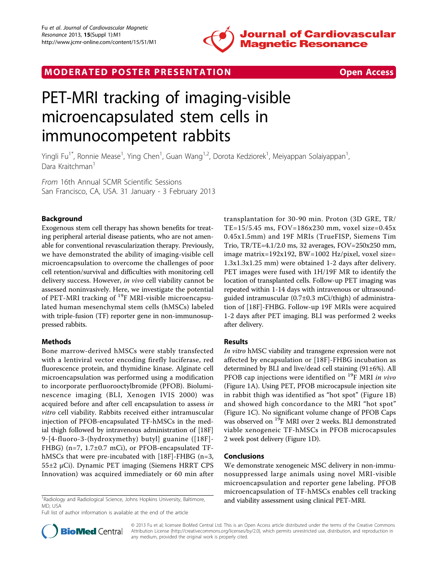

# MODERATED POSTER PRESENTATION **SECURE 20 SET ACCESS**

# PET-MRI tracking of imaging-visible microencapsulated stem cells in immunocompetent rabbits

Yingli Fu<sup>1\*</sup>, Ronnie Mease<sup>1</sup>, Ying Chen<sup>1</sup>, Guan Wang<sup>1,2</sup>, Dorota Kedziorek<sup>1</sup>, Meiyappan Solaiyappan<sup>1</sup> , Dara Kraitchman<sup>1</sup>

From 16th Annual SCMR Scientific Sessions San Francisco, CA, USA. 31 January - 3 February 2013

# Background

Exogenous stem cell therapy has shown benefits for treating peripheral arterial disease patients, who are not amenable for conventional revascularization therapy. Previously, we have demonstrated the ability of imaging-visible cell microencapsulation to overcome the challenges of poor cell retention/survival and difficulties with monitoring cell delivery success. However, in vivo cell viability cannot be assessed noninvasively. Here, we investigate the potential of PET-MRI tracking of <sup>19</sup>F MRI-visible microencapsulated human mesenchymal stem cells (hMSCs) labeled with triple-fusion (TF) reporter gene in non-immunosuppressed rabbits.

## Methods

Bone marrow-derived hMSCs were stably transfected with a lentiviral vector encoding firefly luciferase, red fluorescence protein, and thymidine kinase. Alginate cell microencapsulation was performed using a modification to incorporate perfluorooctylbromide (PFOB). Bioluminescence imaging (BLI, Xenogen IVIS 2000) was acquired before and after cell encapsulation to assess in vitro cell viability. Rabbits received either intramuscular injection of PFOB-encapsulated TF-hMSCs in the medial thigh followed by intravenous administration of [18F] 9-[4-fluoro-3-(hydroxymethy) butyl] guanine ([18F]- FHBG) (n=7, 1.7±0.7 mCi), or PFOB-encapsulated TFhMSCs that were pre-incubated with [18F]-FHBG (n=3, 55±2 µCi). Dynamic PET imaging (Siemens HRRT CPS Innovation) was acquired immediately or 60 min after

<sup>1</sup> Radiology and Radiological Science, Johns Hopkins University, Baltimore, **and viability assessment using clinical PET-MRI.** MD, USA

Full list of author information is available at the end of the article

transplantation for 30-90 min. Proton (3D GRE, TR/ TE=15/5.45 ms, FOV=186x230 mm, voxel size=0.45x 0.45x1.5mm) and 19F MRIs (TrueFISP, Siemens Tim Trio, TR/TE=4.1/2.0 ms, 32 averages, FOV=250x250 mm, image matrix=192x192, BW=1002 Hz/pixel, voxel size= 1.3x1.3x1.25 mm) were obtained 1-2 days after delivery. PET images were fused with 1H/19F MR to identify the location of transplanted cells. Follow-up PET imaging was repeated within 1-14 days with intravenous or ultrasoundguided intramuscular (0.7±0.3 mCi/thigh) of administration of [18F]-FHBG. Follow-up 19F MRIs were acquired 1-2 days after PET imaging. BLI was performed 2 weeks after delivery.

## Results

In vitro hMSC viability and transgene expression were not affected by encapsulation or [18F]-FHBG incubation as determined by BLI and live/dead cell staining (91±6%). All PFOB cap injections were identified on  $^{19}$ F MRI in vivo (Figure [1A\)](#page-1-0). Using PET, PFOB microcapsule injection site in rabbit thigh was identified as "hot spot" (Figure [1B](#page-1-0)) and showed high concordance to the MRI "hot spot" (Figure [1C](#page-1-0)). No significant volume change of PFOB Caps was observed on <sup>19</sup>F MRI over 2 weeks. BLI demonstrated viable xenogeneic TF-hMSCs in PFOB microcapsules 2 week post delivery (Figure [1D\)](#page-1-0).

#### Conclusions

We demonstrate xenogeneic MSC delivery in non-immunosuppressed large animals using novel MRI-visible microencapsulation and reporter gene labeling. PFOB microencapsulation of TF-hMSCs enables cell tracking



© 2013 Fu et al; licensee BioMed Central Ltd. This is an Open Access article distributed under the terms of the Creative Commons Attribution License [\(http://creativecommons.org/licenses/by/2.0](http://creativecommons.org/licenses/by/2.0)), which permits unrestricted use, distribution, and reproduction in any medium, provided the original work is properly cited.